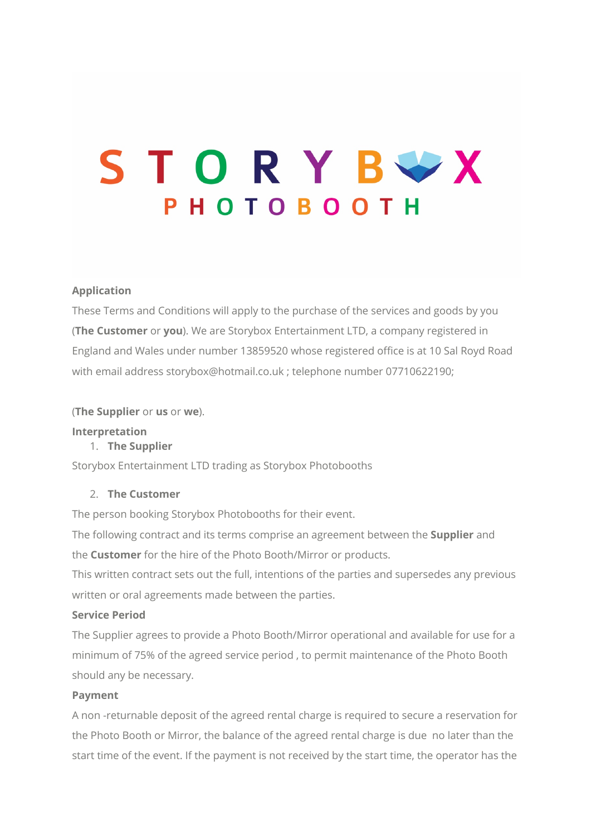# STORYBUX **PHOTOBOOTH**

# **Application**

These Terms and Conditions will apply to the purchase of the services and goods by you (**The Customer** or **you**). We are Storybox Entertainment LTD, a company registered in England and Wales under number 13859520 whose registered office is at 10 Sal Royd Road with email address storybox@hotmail.co.uk ; telephone number 07710622190;

(**The Supplier** or **us** or **we**).

# **Interpretation**

# 1. **The Supplier**

Storybox Entertainment LTD trading as Storybox Photobooths

## 2. **The Customer**

The person booking Storybox Photobooths for their event.

The following contract and its terms comprise an agreement between the **Supplier** and the **Customer** for the hire of the Photo Booth/Mirror or products.

This written contract sets out the full, intentions of the parties and supersedes any previous written or oral agreements made between the parties.

### **Service Period**

The Supplier agrees to provide a Photo Booth/Mirror operational and available for use for a minimum of 75% of the agreed service period , to permit maintenance of the Photo Booth should any be necessary.

### **Payment**

A non -returnable deposit of the agreed rental charge is required to secure a reservation for the Photo Booth or Mirror, the balance of the agreed rental charge is due no later than the start time of the event. If the payment is not received by the start time, the operator has the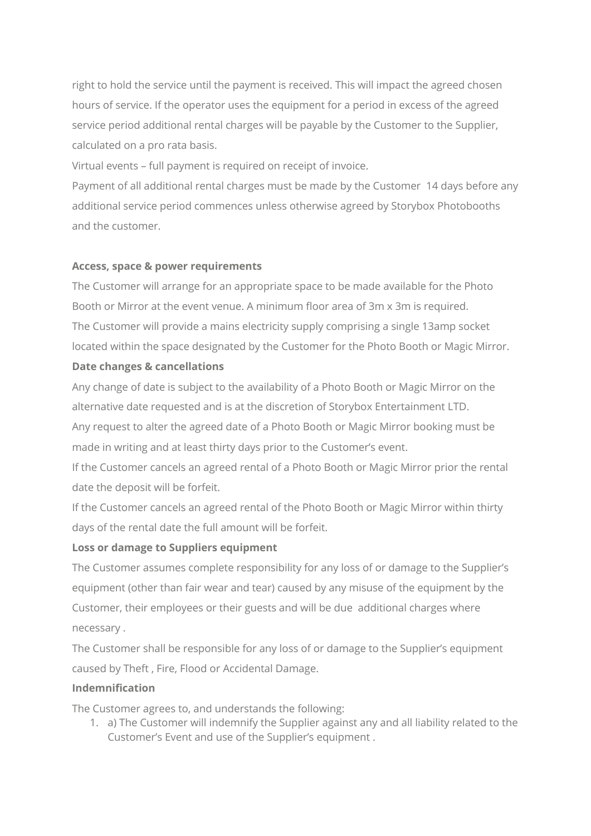right to hold the service until the payment is received. This will impact the agreed chosen hours of service. If the operator uses the equipment for a period in excess of the agreed service period additional rental charges will be payable by the Customer to the Supplier, calculated on a pro rata basis.

Virtual events – full payment is required on receipt of invoice.

Payment of all additional rental charges must be made by the Customer 14 days before any additional service period commences unless otherwise agreed by Storybox Photobooths and the customer.

# **Access, space & power requirements**

The Customer will arrange for an appropriate space to be made available for the Photo Booth or Mirror at the event venue. A minimum floor area of 3m x 3m is required. The Customer will provide a mains electricity supply comprising a single 13amp socket located within the space designated by the Customer for the Photo Booth or Magic Mirror.

# **Date changes & cancellations**

Any change of date is subject to the availability of a Photo Booth or Magic Mirror on the alternative date requested and is at the discretion of Storybox Entertainment LTD. Any request to alter the agreed date of a Photo Booth or Magic Mirror booking must be made in writing and at least thirty days prior to the Customer's event.

If the Customer cancels an agreed rental of a Photo Booth or Magic Mirror prior the rental date the deposit will be forfeit.

If the Customer cancels an agreed rental of the Photo Booth or Magic Mirror within thirty days of the rental date the full amount will be forfeit.

# **Loss or damage to Suppliers equipment**

The Customer assumes complete responsibility for any loss of or damage to the Supplier's equipment (other than fair wear and tear) caused by any misuse of the equipment by the Customer, their employees or their guests and will be due additional charges where necessary .

The Customer shall be responsible for any loss of or damage to the Supplier's equipment caused by Theft , Fire, Flood or Accidental Damage.

# **Indemnification**

The Customer agrees to, and understands the following:

1. a) The Customer will indemnify the Supplier against any and all liability related to the Customer's Event and use of the Supplier's equipment .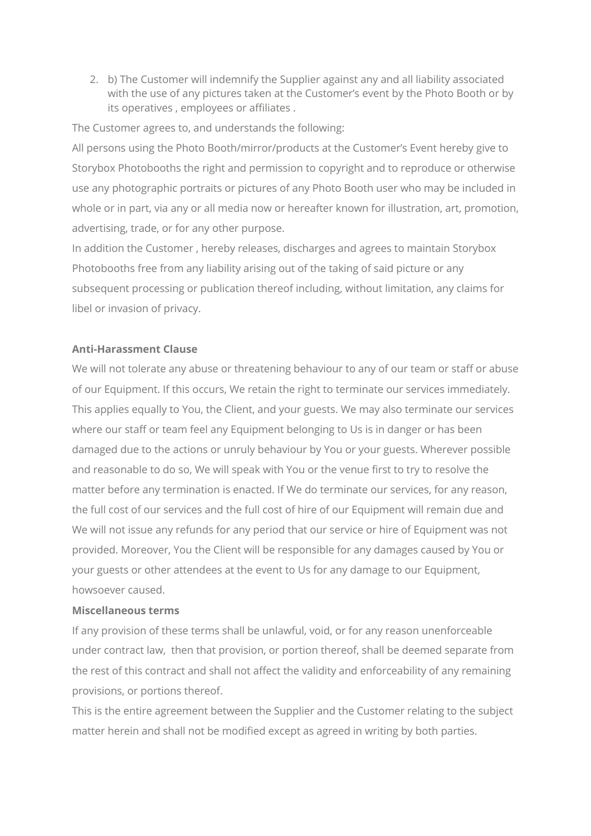2. b) The Customer will indemnify the Supplier against any and all liability associated with the use of any pictures taken at the Customer's event by the Photo Booth or by its operatives , employees or affiliates .

The Customer agrees to, and understands the following:

All persons using the Photo Booth/mirror/products at the Customer's Event hereby give to Storybox Photobooths the right and permission to copyright and to reproduce or otherwise use any photographic portraits or pictures of any Photo Booth user who may be included in whole or in part, via any or all media now or hereafter known for illustration, art, promotion, advertising, trade, or for any other purpose.

In addition the Customer , hereby releases, discharges and agrees to maintain Storybox Photobooths free from any liability arising out of the taking of said picture or any subsequent processing or publication thereof including, without limitation, any claims for libel or invasion of privacy.

## **Anti-Harassment Clause**

We will not tolerate any abuse or threatening behaviour to any of our team or staff or abuse of our Equipment. If this occurs, We retain the right to terminate our services immediately. This applies equally to You, the Client, and your guests. We may also terminate our services where our staff or team feel any Equipment belonging to Us is in danger or has been damaged due to the actions or unruly behaviour by You or your guests. Wherever possible and reasonable to do so, We will speak with You or the venue first to try to resolve the matter before any termination is enacted. If We do terminate our services, for any reason, the full cost of our services and the full cost of hire of our Equipment will remain due and We will not issue any refunds for any period that our service or hire of Equipment was not provided. Moreover, You the Client will be responsible for any damages caused by You or your guests or other attendees at the event to Us for any damage to our Equipment, howsoever caused.

### **Miscellaneous terms**

If any provision of these terms shall be unlawful, void, or for any reason unenforceable under contract law, then that provision, or portion thereof, shall be deemed separate from the rest of this contract and shall not affect the validity and enforceability of any remaining provisions, or portions thereof.

This is the entire agreement between the Supplier and the Customer relating to the subject matter herein and shall not be modified except as agreed in writing by both parties.